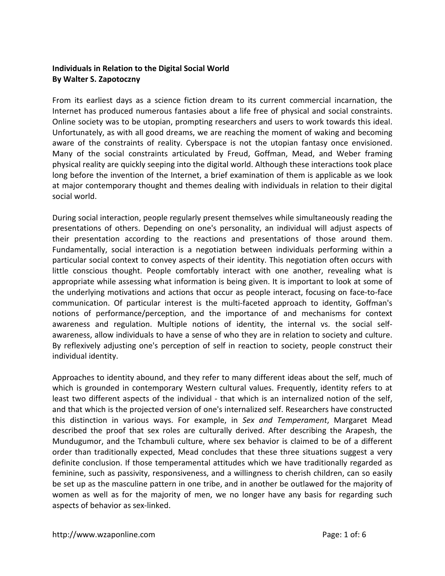## **Individuals in Relation to the Digital Social World By Walter S. Zapotoczny**

From its earliest days as a science fiction dream to its current commercial incarnation, the Internet has produced numerous fantasies about a life free of physical and social constraints. Online society was to be utopian, prompting researchers and users to work towards this ideal. Unfortunately, as with all good dreams, we are reaching the moment of waking and becoming aware of the constraints of reality. Cyberspace is not the utopian fantasy once envisioned. Many of the social constraints articulated by Freud, Goffman, Mead, and Weber framing physical reality are quickly seeping into the digital world. Although these interactions took place long before the invention of the Internet, a brief examination of them is applicable as we look at major contemporary thought and themes dealing with individuals in relation to their digital social world.

During social interaction, people regularly present themselves while simultaneously reading the presentations of others. Depending on one's personality, an individual will adjust aspects of their presentation according to the reactions and presentations of those around them. Fundamentally, social interaction is a negotiation between individuals performing within a particular social context to convey aspects of their identity. This negotiation often occurs with little conscious thought. People comfortably interact with one another, revealing what is appropriate while assessing what information is being given. It is important to look at some of the underlying motivations and actions that occur as people interact, focusing on face-to-face communication. Of particular interest is the multi-faceted approach to identity, Goffman's notions of performance/perception, and the importance of and mechanisms for context awareness and regulation. Multiple notions of identity, the internal vs. the social selfawareness, allow individuals to have a sense of who they are in relation to society and culture. By reflexively adjusting one's perception of self in reaction to society, people construct their individual identity.

Approaches to identity abound, and they refer to many different ideas about the self, much of which is grounded in contemporary Western cultural values. Frequently, identity refers to at least two different aspects of the individual - that which is an internalized notion of the self, and that which is the projected version of one's internalized self. Researchers have constructed this distinction in various ways. For example, in *Sex and Temperament*, Margaret Mead described the proof that sex roles are culturally derived. After describing the Arapesh, the Mundugumor, and the Tchambuli culture, where sex behavior is claimed to be of a different order than traditionally expected, Mead concludes that these three situations suggest a very definite conclusion. If those temperamental attitudes which we have traditionally regarded as feminine, such as passivity, responsiveness, and a willingness to cherish children, can so easily be set up as the masculine pattern in one tribe, and in another be outlawed for the majority of women as well as for the majority of men, we no longer have any basis for regarding such aspects of behavior as sex-linked.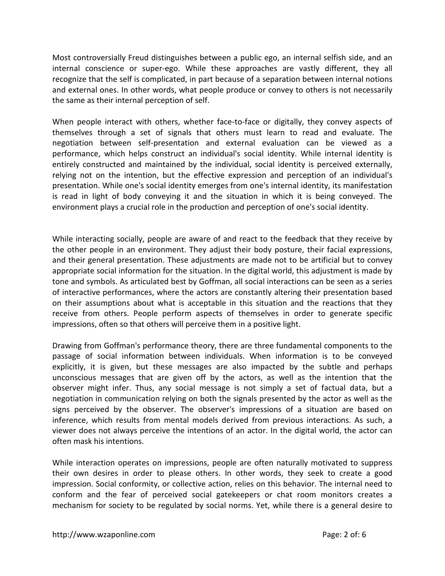Most controversially Freud distinguishes between a public ego, an internal selfish side, and an internal conscience or super-ego. While these approaches are vastly different, they all recognize that the self is complicated, in part because of a separation between internal notions and external ones. In other words, what people produce or convey to others is not necessarily the same as their internal perception of self.

When people interact with others, whether face-to-face or digitally, they convey aspects of themselves through a set of signals that others must learn to read and evaluate. The negotiation between self-presentation and external evaluation can be viewed as a performance, which helps construct an individual's social identity. While internal identity is entirely constructed and maintained by the individual, social identity is perceived externally, relying not on the intention, but the effective expression and perception of an individual's presentation. While one's social identity emerges from one's internal identity, its manifestation is read in light of body conveying it and the situation in which it is being conveyed. The environment plays a crucial role in the production and perception of one's social identity.

While interacting socially, people are aware of and react to the feedback that they receive by the other people in an environment. They adjust their body posture, their facial expressions, and their general presentation. These adjustments are made not to be artificial but to convey appropriate social information for the situation. In the digital world, this adjustment is made by tone and symbols. As articulated best by Goffman, all social interactions can be seen as a series of interactive performances, where the actors are constantly altering their presentation based on their assumptions about what is acceptable in this situation and the reactions that they receive from others. People perform aspects of themselves in order to generate specific impressions, often so that others will perceive them in a positive light.

Drawing from Goffman's performance theory, there are three fundamental components to the passage of social information between individuals. When information is to be conveyed explicitly, it is given, but these messages are also impacted by the subtle and perhaps unconscious messages that are given off by the actors, as well as the intention that the observer might infer. Thus, any social message is not simply a set of factual data, but a negotiation in communication relying on both the signals presented by the actor as well as the signs perceived by the observer. The observer's impressions of a situation are based on inference, which results from mental models derived from previous interactions. As such, a viewer does not always perceive the intentions of an actor. In the digital world, the actor can often mask his intentions.

While interaction operates on impressions, people are often naturally motivated to suppress their own desires in order to please others. In other words, they seek to create a good impression. Social conformity, or collective action, relies on this behavior. The internal need to conform and the fear of perceived social gatekeepers or chat room monitors creates a mechanism for society to be regulated by social norms. Yet, while there is a general desire to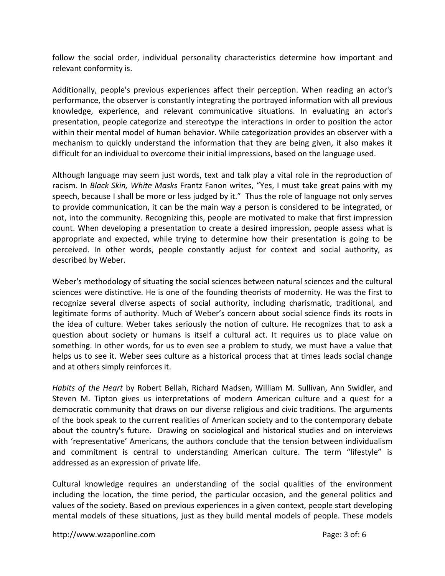follow the social order, individual personality characteristics determine how important and relevant conformity is.

Additionally, people's previous experiences affect their perception. When reading an actor's performance, the observer is constantly integrating the portrayed information with all previous knowledge, experience, and relevant communicative situations. In evaluating an actor's presentation, people categorize and stereotype the interactions in order to position the actor within their mental model of human behavior. While categorization provides an observer with a mechanism to quickly understand the information that they are being given, it also makes it difficult for an individual to overcome their initial impressions, based on the language used.

Although language may seem just words, text and talk play a vital role in the reproduction of racism. In *Black Skin, White Masks* Frantz Fanon writes, "Yes, I must take great pains with my speech, because I shall be more or less judged by it." Thus the role of language not only serves to provide communication, it can be the main way a person is considered to be integrated, or not, into the community. Recognizing this, people are motivated to make that first impression count. When developing a presentation to create a desired impression, people assess what is appropriate and expected, while trying to determine how their presentation is going to be perceived. In other words, people constantly adjust for context and social authority, as described by Weber.

Weber's methodology of situating the social sciences between natural sciences and the cultural sciences were distinctive. He is one of the founding theorists of modernity. He was the first to recognize several diverse aspects of social authority, including charismatic, traditional, and legitimate forms of authority. Much of Weber's concern about social science finds its roots in the idea of culture. Weber takes seriously the notion of culture. He recognizes that to ask a question about society or humans is itself a cultural act. It requires us to place value on something. In other words, for us to even see a problem to study, we must have a value that helps us to see it. Weber sees culture as a historical process that at times leads social change and at others simply reinforces it.

*Habits of the Heart* by Robert Bellah, Richard Madsen, William M. Sullivan, Ann Swidler, and Steven M. Tipton gives us interpretations of modern American culture and a quest for a democratic community that draws on our diverse religious and civic traditions. The arguments of the book speak to the current realities of American society and to the contemporary debate about the country's future. Drawing on sociological and historical studies and on interviews with 'representative' Americans, the authors conclude that the tension between individualism and commitment is central to understanding American culture. The term "lifestyle" is addressed as an expression of private life.

Cultural knowledge requires an understanding of the social qualities of the environment including the location, the time period, the particular occasion, and the general politics and values of the society. Based on previous experiences in a given context, people start developing mental models of these situations, just as they build mental models of people. These models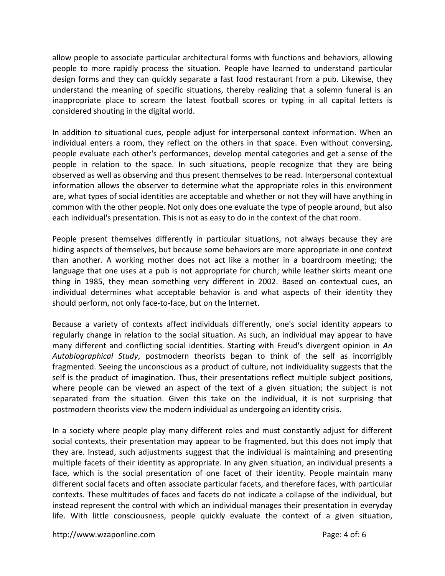allow people to associate particular architectural forms with functions and behaviors, allowing people to more rapidly process the situation. People have learned to understand particular design forms and they can quickly separate a fast food restaurant from a pub. Likewise, they understand the meaning of specific situations, thereby realizing that a solemn funeral is an inappropriate place to scream the latest football scores or typing in all capital letters is considered shouting in the digital world.

In addition to situational cues, people adjust for interpersonal context information. When an individual enters a room, they reflect on the others in that space. Even without conversing, people evaluate each other's performances, develop mental categories and get a sense of the people in relation to the space. In such situations, people recognize that they are being observed as well as observing and thus present themselves to be read. Interpersonal contextual information allows the observer to determine what the appropriate roles in this environment are, what types of social identities are acceptable and whether or not they will have anything in common with the other people. Not only does one evaluate the type of people around, but also each individual's presentation. This is not as easy to do in the context of the chat room.

People present themselves differently in particular situations, not always because they are hiding aspects of themselves, but because some behaviors are more appropriate in one context than another. A working mother does not act like a mother in a boardroom meeting; the language that one uses at a pub is not appropriate for church; while leather skirts meant one thing in 1985, they mean something very different in 2002. Based on contextual cues, an individual determines what acceptable behavior is and what aspects of their identity they should perform, not only face-to-face, but on the Internet.

Because a variety of contexts affect individuals differently, one's social identity appears to regularly change in relation to the social situation. As such, an individual may appear to have many different and conflicting social identities. Starting with Freud's divergent opinion in *An Autobiographical Study*, postmodern theorists began to think of the self as incorrigibly fragmented. Seeing the unconscious as a product of culture, not individuality suggests that the self is the product of imagination. Thus, their presentations reflect multiple subject positions, where people can be viewed an aspect of the text of a given situation; the subject is not separated from the situation. Given this take on the individual, it is not surprising that postmodern theorists view the modern individual as undergoing an identity crisis.

In a society where people play many different roles and must constantly adjust for different social contexts, their presentation may appear to be fragmented, but this does not imply that they are. Instead, such adjustments suggest that the individual is maintaining and presenting multiple facets of their identity as appropriate. In any given situation, an individual presents a face, which is the social presentation of one facet of their identity. People maintain many different social facets and often associate particular facets, and therefore faces, with particular contexts. These multitudes of faces and facets do not indicate a collapse of the individual, but instead represent the control with which an individual manages their presentation in everyday life. With little consciousness, people quickly evaluate the context of a given situation,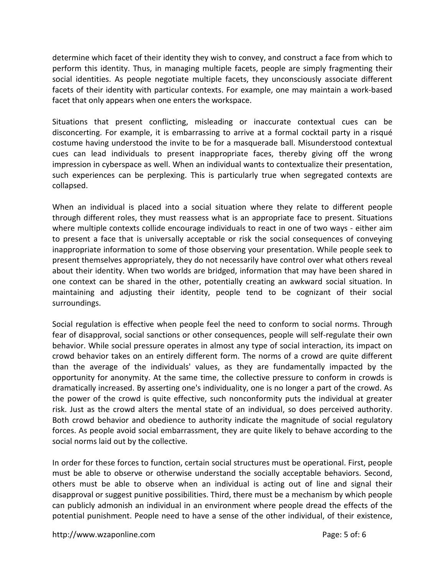determine which facet of their identity they wish to convey, and construct a face from which to perform this identity. Thus, in managing multiple facets, people are simply fragmenting their social identities. As people negotiate multiple facets, they unconsciously associate different facets of their identity with particular contexts. For example, one may maintain a work-based facet that only appears when one enters the workspace.

Situations that present conflicting, misleading or inaccurate contextual cues can be disconcerting. For example, it is embarrassing to arrive at a formal cocktail party in a risqué costume having understood the invite to be for a masquerade ball. Misunderstood contextual cues can lead individuals to present inappropriate faces, thereby giving off the wrong impression in cyberspace as well. When an individual wants to contextualize their presentation, such experiences can be perplexing. This is particularly true when segregated contexts are collapsed.

When an individual is placed into a social situation where they relate to different people through different roles, they must reassess what is an appropriate face to present. Situations where multiple contexts collide encourage individuals to react in one of two ways - either aim to present a face that is universally acceptable or risk the social consequences of conveying inappropriate information to some of those observing your presentation. While people seek to present themselves appropriately, they do not necessarily have control over what others reveal about their identity. When two worlds are bridged, information that may have been shared in one context can be shared in the other, potentially creating an awkward social situation. In maintaining and adjusting their identity, people tend to be cognizant of their social surroundings.

Social regulation is effective when people feel the need to conform to social norms. Through fear of disapproval, social sanctions or other consequences, people will self-regulate their own behavior. While social pressure operates in almost any type of social interaction, its impact on crowd behavior takes on an entirely different form. The norms of a crowd are quite different than the average of the individuals' values, as they are fundamentally impacted by the opportunity for anonymity. At the same time, the collective pressure to conform in crowds is dramatically increased. By asserting one's individuality, one is no longer a part of the crowd. As the power of the crowd is quite effective, such nonconformity puts the individual at greater risk. Just as the crowd alters the mental state of an individual, so does perceived authority. Both crowd behavior and obedience to authority indicate the magnitude of social regulatory forces. As people avoid social embarrassment, they are quite likely to behave according to the social norms laid out by the collective.

In order for these forces to function, certain social structures must be operational. First, people must be able to observe or otherwise understand the socially acceptable behaviors. Second, others must be able to observe when an individual is acting out of line and signal their disapproval or suggest punitive possibilities. Third, there must be a mechanism by which people can publicly admonish an individual in an environment where people dread the effects of the potential punishment. People need to have a sense of the other individual, of their existence,